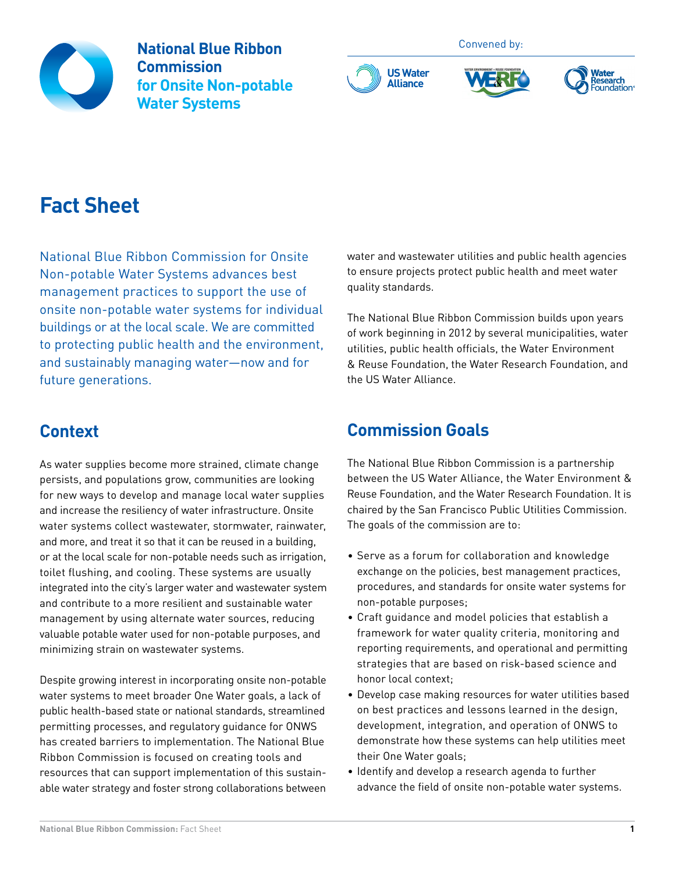

**National Blue Ribbon Commission for Onsite Non-potable Water Systems**







# **Fact Sheet**

National Blue Ribbon Commission for Onsite Non-potable Water Systems advances best management practices to support the use of onsite non-potable water systems for individual buildings or at the local scale. We are committed to protecting public health and the environment, and sustainably managing water—now and for future generations.

## **Context**

As water supplies become more strained, climate change persists, and populations grow, communities are looking for new ways to develop and manage local water supplies and increase the resiliency of water infrastructure. Onsite water systems collect wastewater, stormwater, rainwater, and more, and treat it so that it can be reused in a building, or at the local scale for non-potable needs such as irrigation, toilet flushing, and cooling. These systems are usually integrated into the city's larger water and wastewater system and contribute to a more resilient and sustainable water management by using alternate water sources, reducing valuable potable water used for non-potable purposes, and minimizing strain on wastewater systems.

Despite growing interest in incorporating onsite non-potable water systems to meet broader One Water goals, a lack of public health-based state or national standards, streamlined permitting processes, and regulatory guidance for ONWS has created barriers to implementation. The National Blue Ribbon Commission is focused on creating tools and resources that can support implementation of this sustainable water strategy and foster strong collaborations between water and wastewater utilities and public health agencies to ensure projects protect public health and meet water quality standards.

The National Blue Ribbon Commission builds upon years of work beginning in 2012 by several municipalities, water utilities, public health officials, the Water Environment & Reuse Foundation, the Water Research Foundation, and the US Water Alliance.

## **Commission Goals**

**US Water Alliance**

The National Blue Ribbon Commission is a partnership between the US Water Alliance, the Water Environment & Reuse Foundation, and the Water Research Foundation. It is chaired by the San Francisco Public Utilities Commission. The goals of the commission are to:

- Serve as a forum for collaboration and knowledge exchange on the policies, best management practices, procedures, and standards for onsite water systems for non-potable purposes;
- Craft guidance and model policies that establish a framework for water quality criteria, monitoring and reporting requirements, and operational and permitting strategies that are based on risk-based science and honor local context;
- Develop case making resources for water utilities based on best practices and lessons learned in the design, development, integration, and operation of ONWS to demonstrate how these systems can help utilities meet their One Water goals;
- Identify and develop a research agenda to further advance the field of onsite non-potable water systems.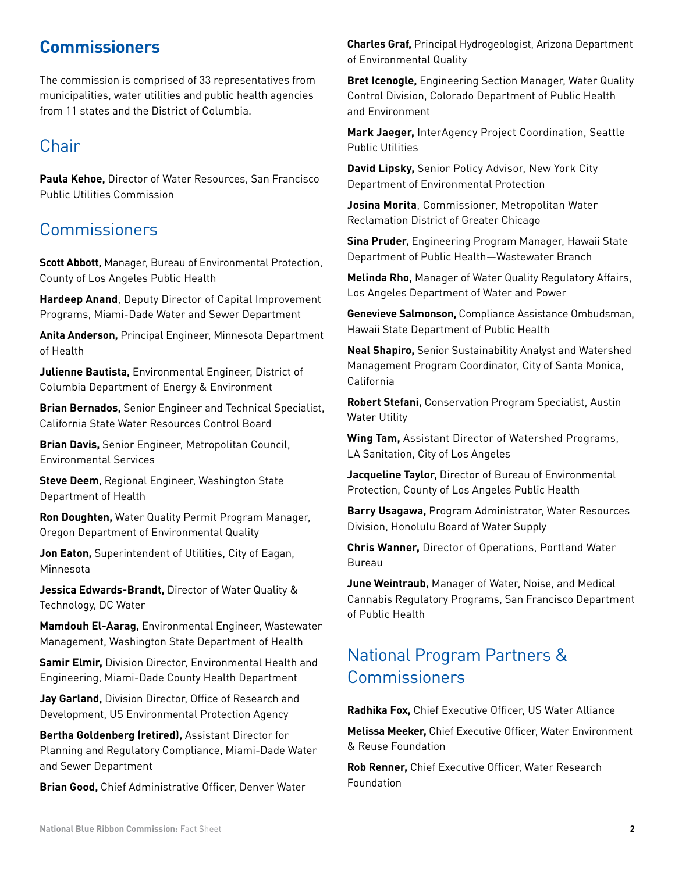## **Commissioners**

The commission is comprised of 33 representatives from municipalities, water utilities and public health agencies from 11 states and the District of Columbia.

### **Chair**

**Paula Kehoe,** Director of Water Resources, San Francisco Public Utilities Commission

## **Commissioners**

**Scott Abbott,** Manager, Bureau of Environmental Protection, County of Los Angeles Public Health

**Hardeep Anand**, Deputy Director of Capital Improvement Programs, Miami-Dade Water and Sewer Department

**Anita Anderson,** Principal Engineer, Minnesota Department of Health

**Julienne Bautista,** Environmental Engineer, District of Columbia Department of Energy & Environment

**Brian Bernados,** Senior Engineer and Technical Specialist, California State Water Resources Control Board

**Brian Davis,** Senior Engineer, Metropolitan Council, Environmental Services

**Steve Deem,** Regional Engineer, Washington State Department of Health

**Ron Doughten,** Water Quality Permit Program Manager, Oregon Department of Environmental Quality

**Jon Eaton,** Superintendent of Utilities, City of Eagan, Minnesota

**Jessica Edwards-Brandt,** Director of Water Quality & Technology, DC Water

**Mamdouh El-Aarag,** Environmental Engineer, Wastewater Management, Washington State Department of Health

**Samir Elmir,** Division Director, Environmental Health and Engineering, Miami-Dade County Health Department

**Jay Garland,** Division Director, Office of Research and Development, US Environmental Protection Agency

**Bertha Goldenberg (retired),** Assistant Director for Planning and Regulatory Compliance, Miami-Dade Water and Sewer Department

**Brian Good,** Chief Administrative Officer, Denver Water

**Charles Graf,** Principal Hydrogeologist, Arizona Department of Environmental Quality

**Bret Icenogle,** Engineering Section Manager, Water Quality Control Division, Colorado Department of Public Health and Environment

**Mark Jaeger,** InterAgency Project Coordination, Seattle Public Utilities

**David Lipsky,** Senior Policy Advisor, New York City Department of Environmental Protection

**Josina Morita**, Commissioner, Metropolitan Water Reclamation District of Greater Chicago

**Sina Pruder,** Engineering Program Manager, Hawaii State Department of Public Health—Wastewater Branch

**Melinda Rho,** Manager of Water Quality Regulatory Affairs, Los Angeles Department of Water and Power

**Genevieve Salmonson,** Compliance Assistance Ombudsman, Hawaii State Department of Public Health

**Neal Shapiro,** Senior Sustainability Analyst and Watershed Management Program Coordinator, City of Santa Monica, California

**Robert Stefani,** Conservation Program Specialist, Austin Water Utility

**Wing Tam,** Assistant Director of Watershed Programs, LA Sanitation, City of Los Angeles

**Jacqueline Taylor,** Director of Bureau of Environmental Protection, County of Los Angeles Public Health

**Barry Usagawa,** Program Administrator, Water Resources Division, Honolulu Board of Water Supply

**Chris Wanner,** Director of Operations, Portland Water Bureau

**June Weintraub,** Manager of Water, Noise, and Medical Cannabis Regulatory Programs, San Francisco Department of Public Health

## National Program Partners & **Commissioners**

**Radhika Fox,** Chief Executive Officer, US Water Alliance

**Melissa Meeker,** Chief Executive Officer, Water Environment & Reuse Foundation

**Rob Renner,** Chief Executive Officer, Water Research Foundation